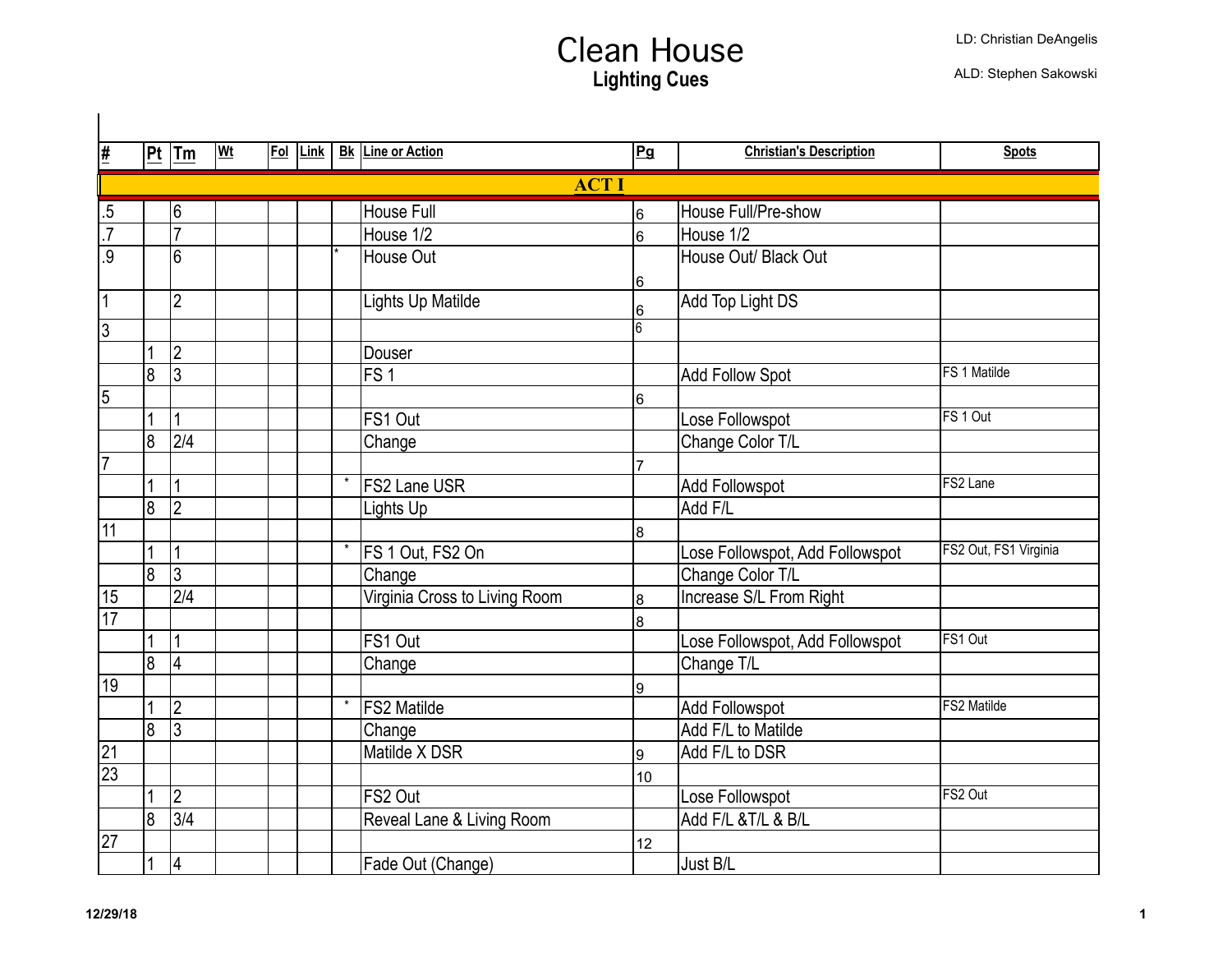| $\overline{\mathbf{H}}$ |                | $ Pt $ Tm                | <u>Wt</u> | Fol Link |         | <b>Bk</b> Line or Action      | Pg             | <b>Christian's Description</b>  | <b>Spots</b>          |
|-------------------------|----------------|--------------------------|-----------|----------|---------|-------------------------------|----------------|---------------------------------|-----------------------|
|                         |                |                          |           |          |         | <b>ACTI</b>                   |                |                                 |                       |
| $.5\,$                  |                | 6                        |           |          |         | <b>House Full</b>             | 6              | House Full/Pre-show             |                       |
| $\overline{.7}$         |                | $\overline{7}$           |           |          |         | House 1/2                     | 6              | House 1/2                       |                       |
| $\overline{.9}$         |                | 6                        |           |          |         | House Out                     |                | House Out/ Black Out            |                       |
|                         |                |                          |           |          |         |                               | 6              |                                 |                       |
| $\overline{1}$          |                | $\overline{2}$           |           |          |         | Lights Up Matilde             | 6              | Add Top Light DS                |                       |
| 3                       |                |                          |           |          |         |                               | $\overline{6}$ |                                 |                       |
|                         |                | $\overline{2}$           |           |          |         | Douser                        |                |                                 |                       |
|                         | 8              | $\overline{3}$           |           |          |         | FS <sub>1</sub>               |                | <b>Add Follow Spot</b>          | FS 1 Matilde          |
| 5                       |                |                          |           |          |         |                               | 6              |                                 |                       |
|                         | 1              | 1                        |           |          |         | FS1 Out                       |                | Lose Followspot                 | FS 1 Out              |
|                         | 8              | $\overline{2/4}$         |           |          |         | Change                        |                | Change Color T/L                |                       |
| 7                       |                |                          |           |          |         |                               | $\overline{7}$ |                                 |                       |
|                         |                | $\mathbf{1}$             |           |          |         | <b>FS2 Lane USR</b>           |                | Add Followspot                  | FS2 Lane              |
|                         | 8              | $\overline{2}$           |           |          |         | Lights Up                     |                | Add F/L                         |                       |
| $\overline{11}$         |                |                          |           |          |         |                               | $\overline{8}$ |                                 |                       |
|                         |                | 1                        |           |          | $\star$ | FS 1 Out, FS2 On              |                | Lose Followspot, Add Followspot | FS2 Out, FS1 Virginia |
|                         | 8              | $\overline{3}$           |           |          |         | Change                        |                | Change Color T/L                |                       |
| 15                      |                | $\overline{2/4}$         |           |          |         | Virginia Cross to Living Room | 8              | Increase S/L From Right         |                       |
| $\overline{17}$         |                |                          |           |          |         |                               | 8              |                                 |                       |
|                         |                | $\mathbf{1}$             |           |          |         | FS1 Out                       |                | Lose Followspot, Add Followspot | FS1 Out               |
|                         | $\overline{8}$ | 4                        |           |          |         | Change                        |                | Change T/L                      |                       |
| 19                      |                |                          |           |          |         |                               | 9              |                                 |                       |
|                         |                | $\overline{2}$           |           |          |         | <b>FS2 Matilde</b>            |                | <b>Add Followspot</b>           | <b>FS2 Matilde</b>    |
|                         | $\overline{8}$ | $\overline{3}$           |           |          |         | Change                        |                | Add F/L to Matilde              |                       |
| $\overline{21}$         |                |                          |           |          |         | Matilde X DSR                 | 9              | Add F/L to DSR                  |                       |
| $\overline{23}$         |                |                          |           |          |         |                               | 10             |                                 |                       |
|                         | 1              | $\overline{2}$           |           |          |         | FS2 Out                       |                | Lose Followspot                 | FS2 Out               |
|                         | $\overline{8}$ | $\overline{\frac{3}{4}}$ |           |          |         | Reveal Lane & Living Room     |                | Add F/L & T/L & B/L             |                       |
| 27                      |                |                          |           |          |         |                               | 12             |                                 |                       |
|                         |                | 4                        |           |          |         | Fade Out (Change)             |                | Just B/L                        |                       |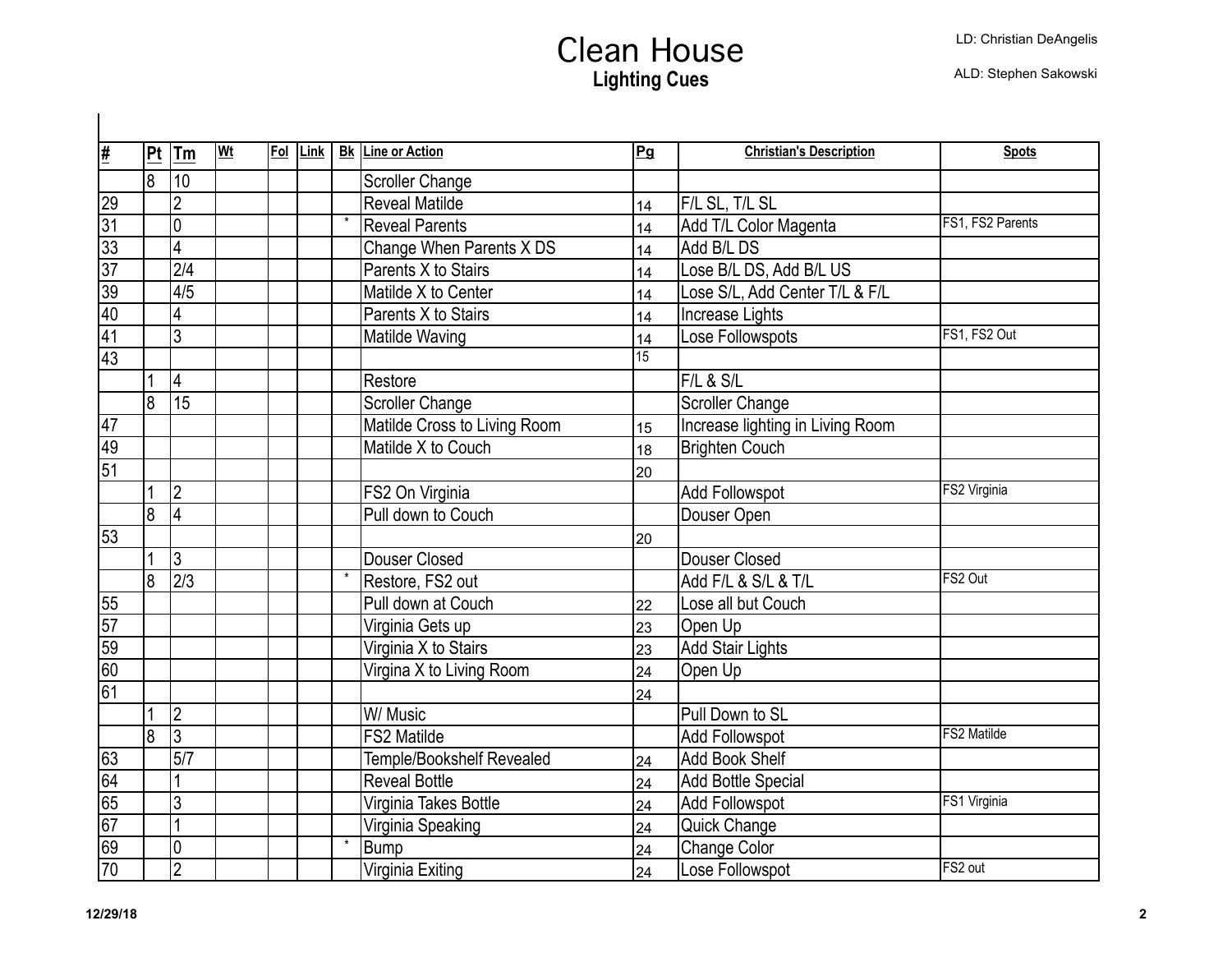| <u>#</u>        | Pt             | ∣Tm                     | <b>Wt</b> | <u>Fol</u> | Link | <b>Bk</b> Line or Action     | Pg | <b>Christian's Description</b>   | <b>Spots</b>       |
|-----------------|----------------|-------------------------|-----------|------------|------|------------------------------|----|----------------------------------|--------------------|
|                 | 8              | 10                      |           |            |      | <b>Scroller Change</b>       |    |                                  |                    |
| 29              |                | $\overline{2}$          |           |            |      | <b>Reveal Matilde</b>        | 14 | F/L SL, T/L SL                   |                    |
| $\overline{31}$ |                | $\overline{0}$          |           |            |      | <b>Reveal Parents</b>        | 14 | Add T/L Color Magenta            | FS1, FS2 Parents   |
| $\overline{33}$ |                | $\overline{4}$          |           |            |      | Change When Parents X DS     | 14 | Add B/L DS                       |                    |
| $\overline{37}$ |                | $\overline{2/4}$        |           |            |      | Parents X to Stairs          | 14 | Lose B/L DS, Add B/L US          |                    |
| 39              |                | 4/5                     |           |            |      | Matilde X to Center          | 14 | Lose S/L, Add Center T/L & F/L   |                    |
| 40              |                | 4                       |           |            |      | Parents X to Stairs          | 14 | Increase Lights                  |                    |
| $\overline{41}$ |                | 3                       |           |            |      | <b>Matilde Waving</b>        | 14 | Lose Followspots                 | FS1, FS2 Out       |
| $\overline{43}$ |                |                         |           |            |      |                              | 15 |                                  |                    |
|                 |                | $\overline{\mathbf{4}}$ |           |            |      | Restore                      |    | F/L & S/L                        |                    |
|                 | $\overline{8}$ | 15                      |           |            |      | <b>Scroller Change</b>       |    | <b>Scroller Change</b>           |                    |
| 47              |                |                         |           |            |      | Matilde Cross to Living Room | 15 | Increase lighting in Living Room |                    |
| 49              |                |                         |           |            |      | Matilde X to Couch           | 18 | <b>Brighten Couch</b>            |                    |
| $\overline{51}$ |                |                         |           |            |      |                              | 20 |                                  |                    |
|                 | $\overline{1}$ | 2                       |           |            |      | FS2 On Virginia              |    | <b>Add Followspot</b>            | FS2 Virginia       |
|                 | $\overline{8}$ | $\overline{4}$          |           |            |      | Pull down to Couch           |    | Douser Open                      |                    |
| 53              |                |                         |           |            |      |                              | 20 |                                  |                    |
|                 | $\overline{1}$ | 3                       |           |            |      | Douser Closed                |    | Douser Closed                    |                    |
|                 | 8              | $\sqrt{2/3}$            |           |            |      | Restore, FS2 out             |    | Add F/L & S/L & T/L              | FS2 Out            |
| 55              |                |                         |           |            |      | Pull down at Couch           | 22 | Lose all but Couch               |                    |
| $\overline{57}$ |                |                         |           |            |      | Virginia Gets up             | 23 | Open Up                          |                    |
| $\overline{59}$ |                |                         |           |            |      | Virginia X to Stairs         | 23 | <b>Add Stair Lights</b>          |                    |
| 60              |                |                         |           |            |      | Virgina X to Living Room     | 24 | Open Up                          |                    |
| 61              |                |                         |           |            |      |                              | 24 |                                  |                    |
|                 |                | $\overline{2}$          |           |            |      | W/ Music                     |    | Pull Down to SL                  |                    |
|                 | 8              | 3                       |           |            |      | <b>FS2 Matilde</b>           |    | <b>Add Followspot</b>            | <b>FS2 Matilde</b> |
| 63              |                | 5/7                     |           |            |      | Temple/Bookshelf Revealed    | 24 | <b>Add Book Shelf</b>            |                    |
| 64              |                |                         |           |            |      | <b>Reveal Bottle</b>         | 24 | <b>Add Bottle Special</b>        |                    |
| 65              |                | $\overline{3}$          |           |            |      | Virginia Takes Bottle        | 24 | <b>Add Followspot</b>            | FS1 Virginia       |
| $\overline{67}$ |                | $\overline{1}$          |           |            |      | Virginia Speaking            | 24 | Quick Change                     |                    |
| 69              |                | $\overline{0}$          |           |            |      | <b>Bump</b>                  | 24 | Change Color                     |                    |
| $\overline{70}$ |                | $\overline{2}$          |           |            |      | Virginia Exiting             | 24 | Lose Followspot                  | FS2 out            |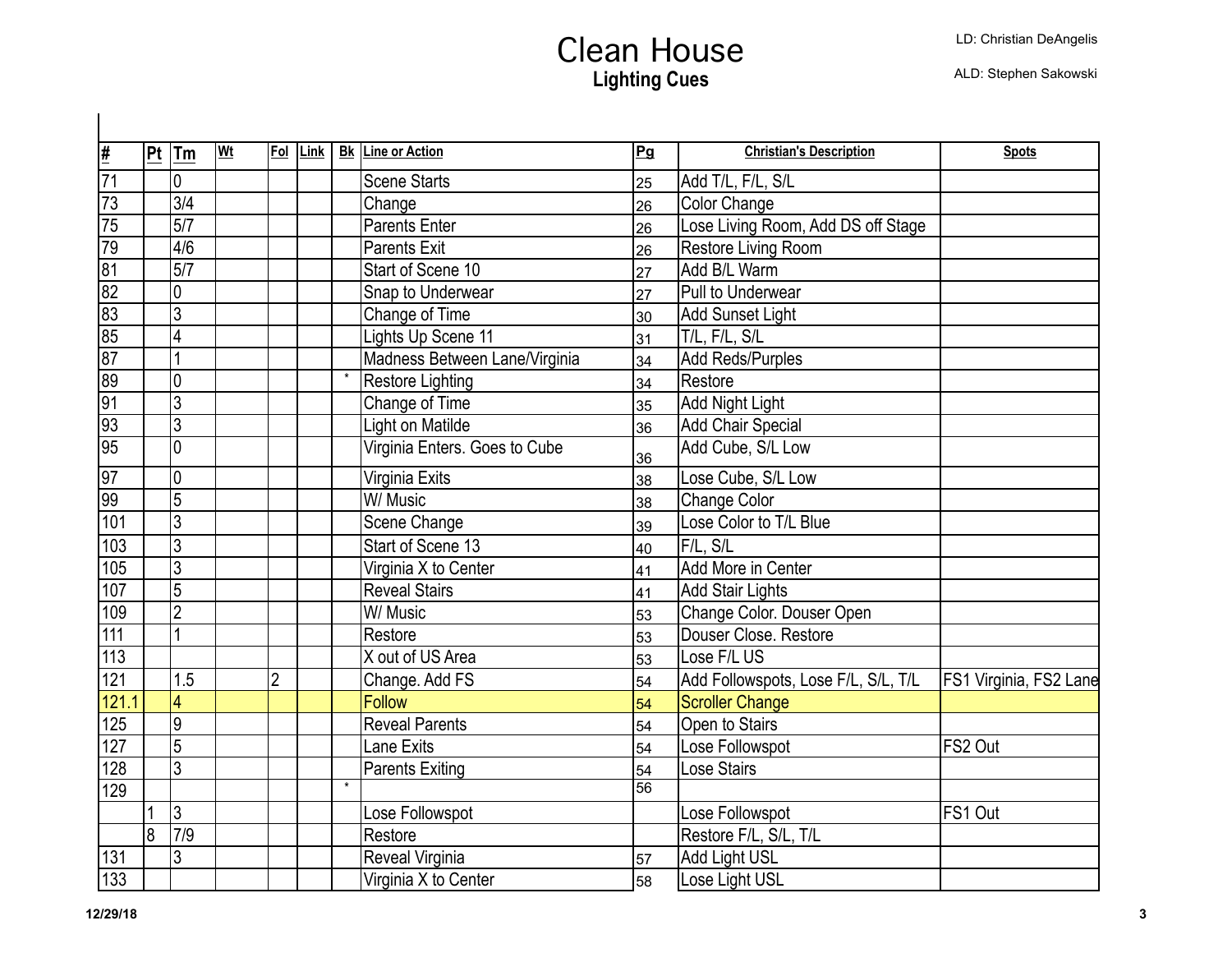|                          |    | Tm                      | Wt |                | Fol Link |         | <b>Bk Line or Action</b>      | Pg              | <b>Christian's Description</b>      | <b>Spots</b>           |
|--------------------------|----|-------------------------|----|----------------|----------|---------|-------------------------------|-----------------|-------------------------------------|------------------------|
| $\frac{1}{\frac{1}{71}}$ | Pt |                         |    |                |          |         |                               |                 |                                     |                        |
|                          |    | $\overline{0}$          |    |                |          |         | <b>Scene Starts</b>           | 25              | Add T/L, F/L, S/L                   |                        |
| $\sqrt{73}$              |    | 3/4                     |    |                |          |         | Change                        | 26              | Color Change                        |                        |
| $\overline{75}$          |    | 5/7                     |    |                |          |         | <b>Parents Enter</b>          | 26              | Lose Living Room, Add DS off Stage  |                        |
| 79                       |    | 4/6                     |    |                |          |         | <b>Parents Exit</b>           | 26              | Restore Living Room                 |                        |
| $\overline{81}$          |    | $\overline{5/7}$        |    |                |          |         | Start of Scene 10             | 27              | Add B/L Warm                        |                        |
| $\overline{82}$          |    | 0                       |    |                |          |         | Snap to Underwear             | 27              | Pull to Underwear                   |                        |
| $\overline{83}$          |    | $\overline{3}$          |    |                |          |         | Change of Time                | 30              | Add Sunset Light                    |                        |
| 85                       |    | 4                       |    |                |          |         | Lights Up Scene 11            | 31              | T/L, F/L, S/L                       |                        |
| $\overline{87}$          |    | 1                       |    |                |          |         | Madness Between Lane/Virginia | 34              | Add Reds/Purples                    |                        |
| 89                       |    | $\overline{0}$          |    |                |          |         | Restore Lighting              | 34              | Restore                             |                        |
| $\overline{91}$          |    | $\overline{3}$          |    |                |          |         | Change of Time                | 35              | Add Night Light                     |                        |
| 93                       |    | $\overline{3}$          |    |                |          |         | Light on Matilde              | 36              | <b>Add Chair Special</b>            |                        |
| 95                       |    | $\overline{0}$          |    |                |          |         | Virginia Enters. Goes to Cube | 36              | Add Cube, S/L Low                   |                        |
| 97                       |    | $\overline{0}$          |    |                |          |         | Virginia Exits                | 38              | Lose Cube, S/L Low                  |                        |
| $\overline{99}$          |    | 5                       |    |                |          |         | W/ Music                      | 38              | Change Color                        |                        |
| 101                      |    | $\overline{3}$          |    |                |          |         | Scene Change                  | 39              | Lose Color to T/L Blue              |                        |
| $\overline{103}$         |    | $\overline{3}$          |    |                |          |         | Start of Scene 13             | 40              | F/L, S/L                            |                        |
| $\sqrt{105}$             |    | $\overline{3}$          |    |                |          |         | Virginia X to Center          | 41              | Add More in Center                  |                        |
| 107                      |    | $\overline{5}$          |    |                |          |         | <b>Reveal Stairs</b>          | 41              | Add Stair Lights                    |                        |
| 109                      |    | $\overline{2}$          |    |                |          |         | W/ Music                      | 53              | Change Color. Douser Open           |                        |
| 111                      |    | 1                       |    |                |          |         | Restore                       | 53              | Douser Close. Restore               |                        |
| 113                      |    |                         |    |                |          |         | X out of US Area              | 53              | Lose F/L US                         |                        |
| $\overline{121}$         |    | 1.5                     |    | $\overline{2}$ |          |         | Change. Add FS                | 54              | Add Followspots, Lose F/L, S/L, T/L | FS1 Virginia, FS2 Lane |
| 121.1                    |    | $\overline{\mathbf{4}}$ |    |                |          |         | Follow                        | 54              | <b>Scroller Change</b>              |                        |
| 125                      |    | 9                       |    |                |          |         | <b>Reveal Parents</b>         | 54              | Open to Stairs                      |                        |
| $\overline{127}$         |    | $\overline{5}$          |    |                |          |         | <b>Lane Exits</b>             | 54              | Lose Followspot                     | FS2 Out                |
| $\overline{128}$         |    | $\overline{3}$          |    |                |          |         | <b>Parents Exiting</b>        | 54              | Lose Stairs                         |                        |
| $\overline{129}$         |    |                         |    |                |          | $\star$ |                               | $\overline{56}$ |                                     |                        |
|                          |    | $\overline{3}$          |    |                |          |         | Lose Followspot               |                 | Lose Followspot                     | FS1 Out                |
|                          | 8  | 7/9                     |    |                |          |         | Restore                       |                 | Restore F/L, S/L, T/L               |                        |
| 131                      |    | 3                       |    |                |          |         | Reveal Virginia               | 57              | <b>Add Light USL</b>                |                        |
| 133                      |    |                         |    |                |          |         | Virginia X to Center          | 58              | Lose Light USL                      |                        |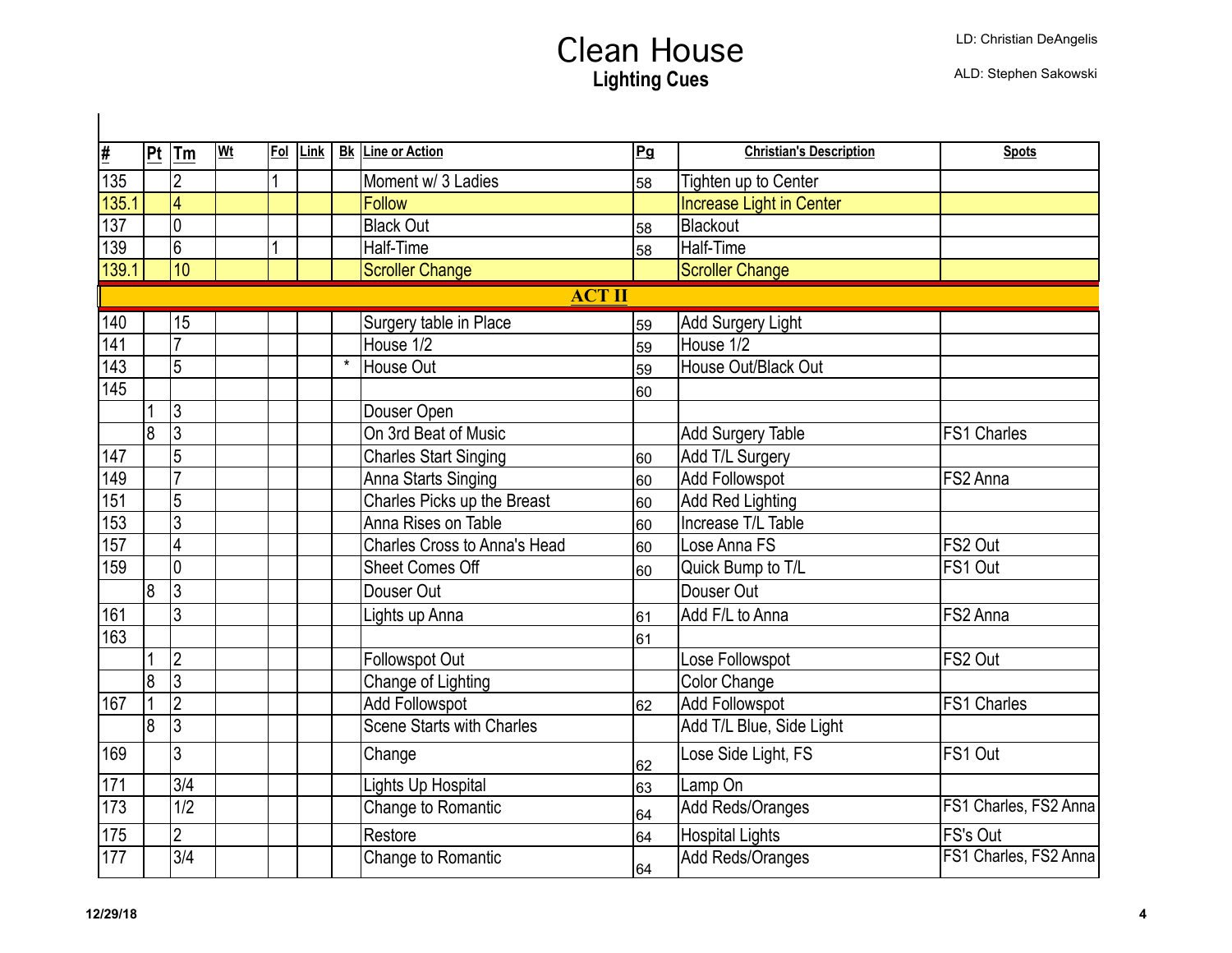| <u>#</u>         | Pt | Tm                       | <b>Wt</b> | Fol | Link |         | <b>Bk</b> Line or Action            | Pg | <b>Christian's Description</b>  | <b>Spots</b>          |
|------------------|----|--------------------------|-----------|-----|------|---------|-------------------------------------|----|---------------------------------|-----------------------|
| $\overline{135}$ |    | $\overline{2}$           |           |     |      |         | Moment w/ 3 Ladies                  | 58 | Tighten up to Center            |                       |
| 135.1            |    | $\overline{4}$           |           |     |      |         | Follow                              |    | <b>Increase Light in Center</b> |                       |
| 137              |    | $\overline{0}$           |           |     |      |         | <b>Black Out</b>                    | 58 | Blackout                        |                       |
| 139              |    | $\overline{6}$           |           |     |      |         | Half-Time                           | 58 | <b>Half-Time</b>                |                       |
| 139.1            |    | $\overline{10}$          |           |     |      |         | <b>Scroller Change</b>              |    | <b>Scroller Change</b>          |                       |
|                  |    |                          |           |     |      |         | <b>ACT II</b>                       |    |                                 |                       |
| 140              |    | 15                       |           |     |      |         | Surgery table in Place              | 59 | Add Surgery Light               |                       |
| $\overline{141}$ |    | $\overline{7}$           |           |     |      |         | House 1/2                           | 59 | House 1/2                       |                       |
| 143              |    | 5                        |           |     |      | $\star$ | House Out                           | 59 | House Out/Black Out             |                       |
| 145              |    |                          |           |     |      |         |                                     | 60 |                                 |                       |
|                  |    | $\overline{3}$           |           |     |      |         | Douser Open                         |    |                                 |                       |
|                  | 8  | $\overline{3}$           |           |     |      |         | On 3rd Beat of Music                |    | Add Surgery Table               | <b>FS1 Charles</b>    |
| 147              |    | $\overline{5}$           |           |     |      |         | <b>Charles Start Singing</b>        | 60 | Add T/L Surgery                 |                       |
| 149              |    | $\overline{7}$           |           |     |      |         | Anna Starts Singing                 | 60 | Add Followspot                  | FS2 Anna              |
| 151              |    | $\overline{5}$           |           |     |      |         | Charles Picks up the Breast         | 60 | Add Red Lighting                |                       |
| 153              |    | $\overline{3}$           |           |     |      |         | Anna Rises on Table                 | 60 | Increase T/L Table              |                       |
| 157              |    | $\overline{4}$           |           |     |      |         | <b>Charles Cross to Anna's Head</b> | 60 | Lose Anna FS                    | FS2 Out               |
| 159              |    | $\overline{0}$           |           |     |      |         | Sheet Comes Off                     | 60 | Quick Bump to T/L               | FS1 Out               |
|                  | 8  | $\overline{3}$           |           |     |      |         | Douser Out                          |    | Douser Out                      |                       |
| 161              |    | $\overline{3}$           |           |     |      |         | Lights up Anna                      | 61 | Add F/L to Anna                 | FS2 Anna              |
| $\overline{163}$ |    |                          |           |     |      |         |                                     | 61 |                                 |                       |
|                  |    | $\overline{2}$           |           |     |      |         | Followspot Out                      |    | Lose Followspot                 | FS2 Out               |
|                  | 8  | $\overline{3}$           |           |     |      |         | Change of Lighting                  |    | <b>Color Change</b>             |                       |
| 167              | 1  | $\overline{2}$           |           |     |      |         | <b>Add Followspot</b>               | 62 | Add Followspot                  | <b>FS1 Charles</b>    |
|                  | 8  | $\overline{3}$           |           |     |      |         | <b>Scene Starts with Charles</b>    |    | Add T/L Blue, Side Light        |                       |
| 169              |    | $\overline{3}$           |           |     |      |         | Change                              | 62 | Lose Side Light, FS             | FS1 Out               |
| 171              |    | $\overline{3/4}$         |           |     |      |         | <b>Lights Up Hospital</b>           | 63 | Lamp On                         |                       |
| $\overline{173}$ |    | $\overline{1/2}$         |           |     |      |         | Change to Romantic                  | 64 | Add Reds/Oranges                | FS1 Charles, FS2 Anna |
| 175              |    | $\overline{2}$           |           |     |      |         | Restore                             | 64 | Hospital Lights                 | FS's Out              |
| 177              |    | $\overline{\frac{3}{4}}$ |           |     |      |         | Change to Romantic                  | 64 | Add Reds/Oranges                | FS1 Charles, FS2 Anna |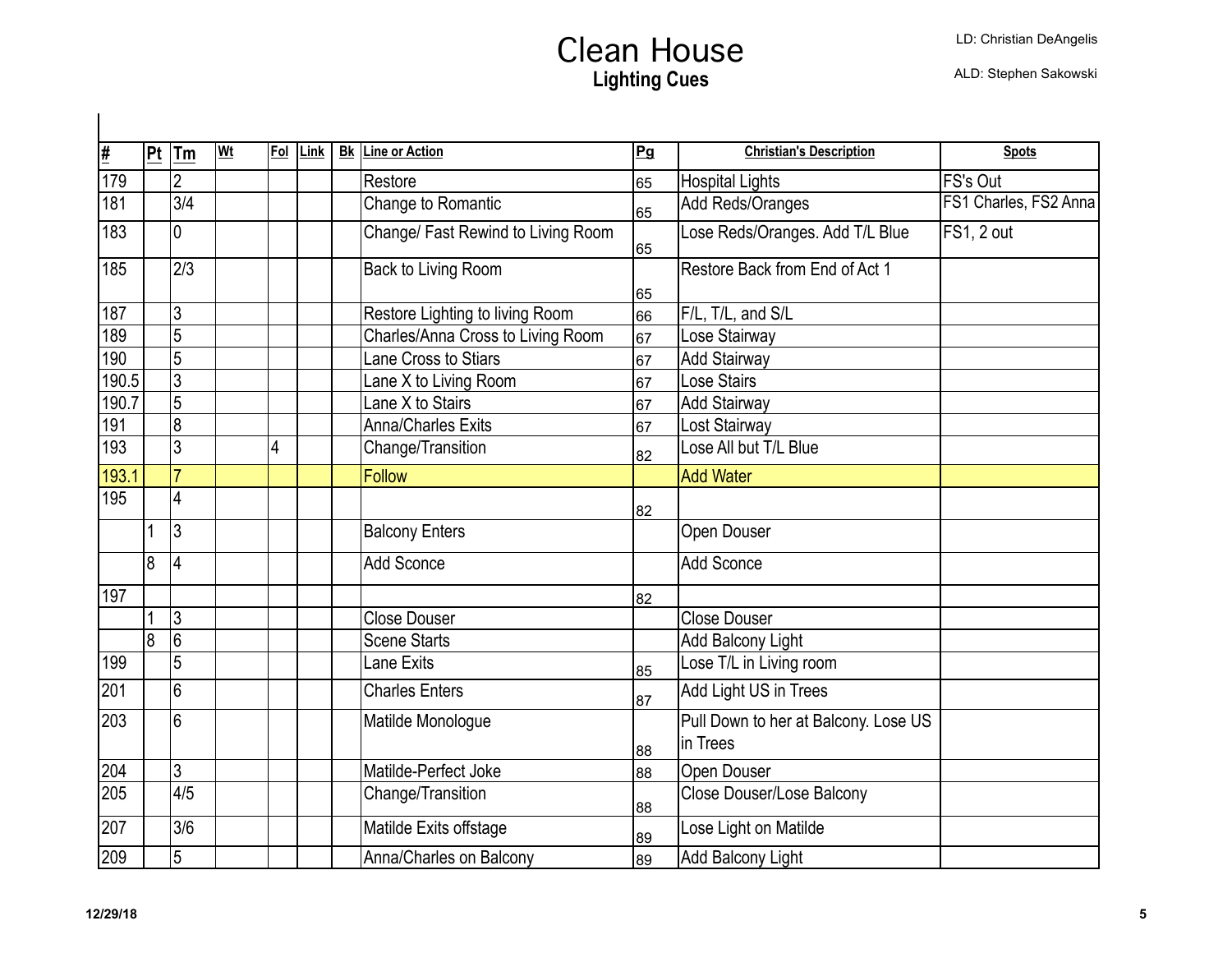| <u>#</u>         | Pt | Tm                       | <u>Wt</u> | Fol | Link | <b>Bk</b> Line or Action           | Pg  | <b>Christian's Description</b>       | <b>Spots</b>          |
|------------------|----|--------------------------|-----------|-----|------|------------------------------------|-----|--------------------------------------|-----------------------|
| $\sqrt{179}$     |    | $\overline{2}$           |           |     |      | Restore                            | 65  | <b>Hospital Lights</b>               | FS's Out              |
| 181              |    | $\overline{3/4}$         |           |     |      | Change to Romantic                 | 65  | Add Reds/Oranges                     | FS1 Charles, FS2 Anna |
| 183              |    | $\overline{0}$           |           |     |      | Change/ Fast Rewind to Living Room | 65  | Lose Reds/Oranges. Add T/L Blue      | FS1, 2 out            |
| 185              |    | $\overline{2/3}$         |           |     |      | Back to Living Room                | 65  | Restore Back from End of Act 1       |                       |
| 187              |    | 3                        |           |     |      | Restore Lighting to living Room    | 66  | F/L, T/L, and S/L                    |                       |
| 189              |    | $\overline{5}$           |           |     |      | Charles/Anna Cross to Living Room  | 67  | Lose Stairway                        |                       |
| 190              |    | $\overline{5}$           |           |     |      | Lane Cross to Stiars               | 67  | <b>Add Stairway</b>                  |                       |
| 190.5            |    | $\overline{3}$           |           |     |      | Lane X to Living Room              | 67  | <b>Lose Stairs</b>                   |                       |
| 190.7            |    | $\overline{5}$           |           |     |      | Lane X to Stairs                   | 67  | <b>Add Stairway</b>                  |                       |
| 191              |    | $\overline{8}$           |           |     |      | <b>Anna/Charles Exits</b>          | 67  | Lost Stairway                        |                       |
| 193              |    | $\overline{3}$           |           | 4   |      | Change/Transition                  | 82  | Lose All but T/L Blue                |                       |
| 193.1            |    | $\overline{7}$           |           |     |      | Follow                             |     | <b>Add Water</b>                     |                       |
| $\overline{195}$ |    | $\overline{4}$           |           |     |      |                                    | 82  |                                      |                       |
|                  |    | $\overline{3}$           |           |     |      | <b>Balcony Enters</b>              |     | Open Douser                          |                       |
|                  | 8  | $\overline{4}$           |           |     |      | Add Sconce                         |     | <b>Add Sconce</b>                    |                       |
| 197              |    |                          |           |     |      |                                    | 82  |                                      |                       |
|                  |    | $\overline{3}$           |           |     |      | <b>Close Douser</b>                |     | <b>Close Douser</b>                  |                       |
|                  | 8  | 6                        |           |     |      | <b>Scene Starts</b>                |     | Add Balcony Light                    |                       |
| 199              |    | $\overline{5}$           |           |     |      | Lane Exits                         | 85  | Lose T/L in Living room              |                       |
| $\overline{201}$ |    | $\overline{6}$           |           |     |      | <b>Charles Enters</b>              | 87  | Add Light US in Trees                |                       |
| 203              |    | $6\phantom{a}$           |           |     |      | Matilde Monologue                  |     | Pull Down to her at Balcony. Lose US |                       |
|                  |    |                          |           |     |      |                                    | l88 | in Trees                             |                       |
| 204              |    | $\overline{3}$           |           |     |      | Matilde-Perfect Joke               | 88  | Open Douser                          |                       |
| 205              |    | 4/5                      |           |     |      | Change/Transition                  | 88  | <b>Close Douser/Lose Balcony</b>     |                       |
| 207              |    | $\overline{\frac{3}{6}}$ |           |     |      | Matilde Exits offstage             | 89  | Lose Light on Matilde                |                       |
| 209              |    | $\overline{5}$           |           |     |      | Anna/Charles on Balcony            | 89  | <b>Add Balcony Light</b>             |                       |